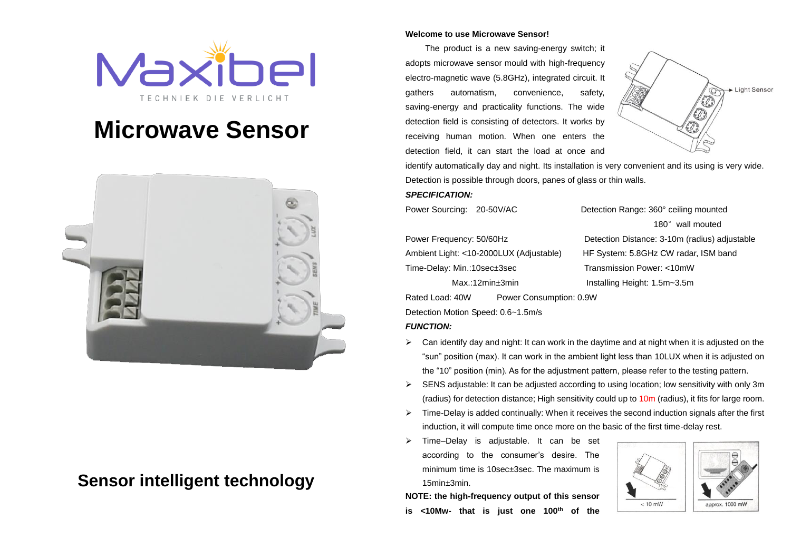

# **Microwave Sensor**



# **Sensor intelligent technology**

#### **Welcome to use Microwave Sensor!**

The product is a new saving-energy switch; it adopts microwave sensor mould with high-frequency electro-magnetic wave (5.8GHz), integrated circuit. It gathers automatism, convenience, safety, saving-energy and practicality functions. The wide detection field is consisting of detectors. It works by receiving human motion. When one enters the detection field, it can start the load at once and



identify automatically day and night. Its installation is very convenient and its using is very wide. Detection is possible through doors, panes of glass or thin walls.

#### *SPECIFICATION:*

Power Sourcing: 20-50V/AC Detection Range: 360° ceiling mounted

Time-Delay: Min.:10sec±3sec Transmission Power: <10mW

Rated Load: 40W Power Consumption: 0.9W

Detection Motion Speed: 0.6~1.5m/s

#### *FUNCTION:*

- $\triangleright$  Can identify day and night: It can work in the daytime and at night when it is adjusted on the "sun" position (max). It can work in the ambient light less than 10LUX when it is adjusted on the "10" position (min). As for the adjustment pattern, please refer to the testing pattern.
- $\triangleright$  SENS adjustable: It can be adjusted according to using location; low sensitivity with only 3m (radius) for detection distance; High sensitivity could up to 10m (radius), it fits for large room.
- $\triangleright$  Time-Delay is added continually: When it receives the second induction signals after the first induction, it will compute time once more on the basic of the first time-delay rest.
- Time–Delay is adjustable. It can be set according to the consumer's desire. The minimum time is 10sec±3sec. The maximum is 15min±3min.

 $< 10$  mW approx. 1000 mW

**NOTE: the high-frequency output of this sensor is <10Mw- that is just one 100th of the** 

180° wall mouted Power Frequency: 50/60Hz Detection Distance: 3-10m (radius) adjustable Ambient Light: <10-2000LUX (Adjustable) HF System: 5.8GHz CW radar, ISM band Max.:12min±3min Installing Height: 1.5m~3.5m